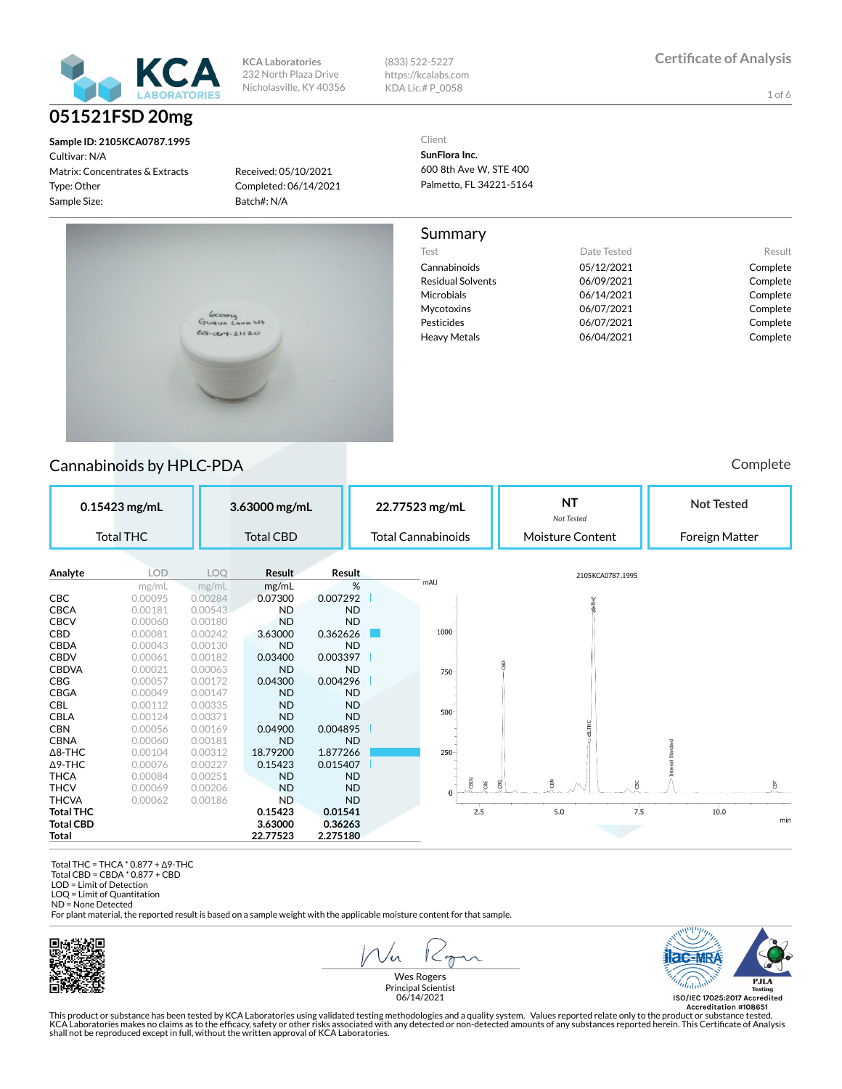

Cultivar: N/A Matrix: Concentrates & Extracts Type: Other Sample Size:

**KCA Laboratories** 232 North Plaza Drive Nicholasville, KY 40356 (833) 522-5227 https://kcalabs.com KDA Lic.# P\_0058

1 of 6

**Sample ID: 2105KCA0787.1995**

Received: 05/10/2021 Completed: 06/14/2021 Batch#: N/A

Client **SunFlora Inc.** 600 8th Ave W, STE 400

Palmetto, FL 34221-5164

#### Summary

Cannabinoids 05/12/2021 Complete Residual Solvents 06/09/2021 Complete Microbials 06/14/2021 Complete Mycotoxins 06/07/2021 Complete Pesticides 06/07/2021 Complete Heavy Metals **Complete** 06/04/2021 Complete

Test **Date Tested** Result



#### Cannabinoids by HPLC-PDA **Complete** Cannabinoids by HPLC-PDA **Complete**

| 0.15423 mg/mL    |                  | 3.63000 mg/mL |                  | 22.77523 mg/mL |  |                           | <b>NT</b><br>Not Tested |                  | <b>Not Tested</b> |                |      |           |
|------------------|------------------|---------------|------------------|----------------|--|---------------------------|-------------------------|------------------|-------------------|----------------|------|-----------|
|                  | <b>Total THC</b> |               | <b>Total CBD</b> |                |  | <b>Total Cannabinoids</b> |                         | Moisture Content |                   | Foreign Matter |      |           |
|                  |                  |               |                  |                |  |                           |                         |                  |                   |                |      |           |
| Analyte          | LOD              | LOO           | <b>Result</b>    | Result         |  |                           |                         | 2105KCA0787.1995 |                   |                |      |           |
|                  | mg/mL            | mg/ml         | mg/mL            | %              |  | mAU                       |                         |                  |                   |                |      |           |
| CBC              | 0.00095          | 0.00284       | 0.07300          | 0.007292       |  |                           |                         |                  |                   |                |      |           |
| <b>CBCA</b>      | 0.00181          | 0.00543       | <b>ND</b>        | <b>ND</b>      |  |                           |                         |                  |                   |                |      |           |
| <b>CBCV</b>      | 0.00060          | 0.00180       | <b>ND</b>        | <b>ND</b>      |  |                           |                         |                  |                   |                |      |           |
| CBD              | 0.00081          | 0.00242       | 3.63000          | 0.362626       |  | 1000                      |                         |                  |                   |                |      |           |
| <b>CBDA</b>      | 0.00043          | 0.00130       | <b>ND</b>        | <b>ND</b>      |  |                           |                         |                  |                   |                |      |           |
| <b>CBDV</b>      | 0.00061          | 0.00182       | 0.03400          | 0.003397       |  |                           | $\mathbb{R}$            |                  |                   |                |      |           |
| <b>CBDVA</b>     | 0.00021          | 0.00063       | <b>ND</b>        | <b>ND</b>      |  | 750                       |                         |                  |                   |                |      |           |
| CBG              | 0.00057          | 0.00172       | 0.04300          | 0.004296       |  |                           |                         |                  |                   |                |      |           |
| <b>CBGA</b>      | 0.00049          | 0.00147       | <b>ND</b>        | <b>ND</b>      |  |                           |                         |                  |                   |                |      |           |
| <b>CBL</b>       | 0.00112          | 0.00335       | <b>ND</b>        | <b>ND</b>      |  | 500                       |                         |                  |                   |                |      |           |
| <b>CBLA</b>      | 0.00124          | 0.00371       | <b>ND</b>        | <b>ND</b>      |  |                           |                         |                  |                   |                |      |           |
| <b>CBN</b>       | 0.00056          | 0.00169       | 0.04900          | 0.004895       |  |                           |                         |                  |                   |                |      |           |
| <b>CBNA</b>      | 0.00060          | 0.00181       | <b>ND</b>        | <b>ND</b>      |  |                           |                         |                  |                   |                |      |           |
| $\Delta$ 8-THC   | 0.00104          | 0.00312       | 18.79200         | 1.877266       |  | 250                       |                         |                  |                   |                |      |           |
| $\Delta$ 9-THC   | 0.00076          | 0.00227       | 0.15423          | 0.015407       |  |                           |                         |                  |                   |                |      |           |
| <b>THCA</b>      | 0.00084          | 0.00251       | <b>ND</b>        | <b>ND</b>      |  | CBDV                      |                         | <b>CBN</b>       |                   |                |      |           |
| <b>THCV</b>      | 0.00069          | 0.00206       | <b>ND</b>        | <b>ND</b>      |  |                           | 買<br>g                  |                  | ĕ                 |                |      | <b>FE</b> |
| <b>THCVA</b>     | 0.00062          | 0.00186       | <b>ND</b>        | <b>ND</b>      |  |                           |                         |                  |                   |                |      |           |
| <b>Total THC</b> |                  |               | 0.15423          | 0.01541        |  |                           | 2.5                     | 5.0              | 7.5               |                | 10.0 |           |
| <b>Total CBD</b> |                  |               | 3.63000          | 0.36263        |  |                           |                         |                  |                   |                |      | min       |
| Total            |                  |               | 22.77523         | 2.275180       |  |                           |                         |                  |                   |                |      |           |

 Total THC = THCA \* 0.877 + Δ9-THC Total CBD = CBDA \* 0.877 + CBD

LOD = Limit of Detection

LOQ = Limit of Quantitation ND = None Detected

For plant material, the reported result is based on a sample weight with the applicable moisture content for that sample.



 $1 < \gamma$  $\sqrt{\mathcal{M}}$ 



Wes Rogers Principal Scientist 06/14/2021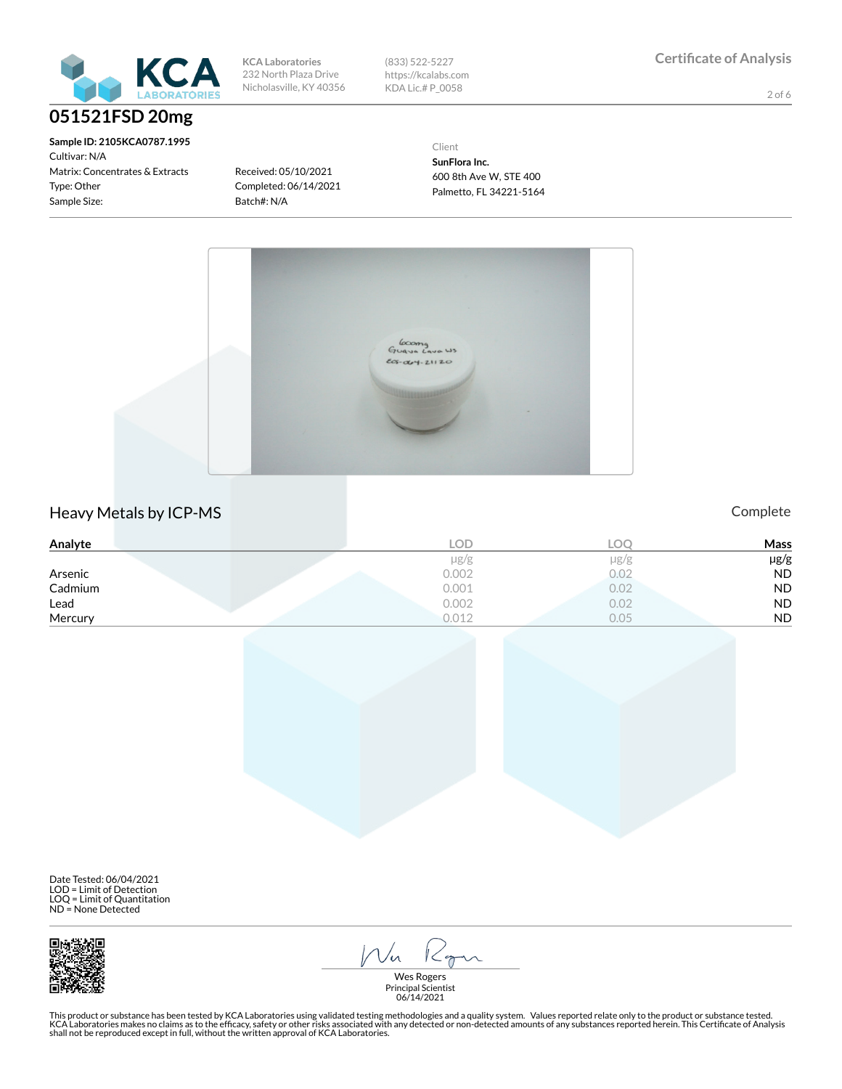

**Sample ID: 2105KCA0787.1995** Cultivar: N/A Matrix: Concentrates & Extracts Type: Other Sample Size:

**KCA Laboratories** 232 North Plaza Drive Nicholasville, KY 40356 (833) 522-5227 https://kcalabs.com KDA Lic.# P\_0058

2 of 6

Received: 05/10/2021 Completed: 06/14/2021 Batch#: N/A

Client

**SunFlora Inc.** 600 8th Ave W, STE 400 Palmetto, FL 34221-5164



#### Heavy Metals by ICP-MS **Complete**

| Analyte | LOD       | °⊓ ⊓ | <b>Mass</b> |
|---------|-----------|------|-------------|
|         | $\mu$ g/g | µg/g | µg/g        |
| Arsenic | 0.002     | 0.02 | <b>ND</b>   |
| Cadmium | 0.001     | 0.02 | <b>ND</b>   |
| Lead    | 0.002     | 0.02 | <b>ND</b>   |
| Mercury | 0.012     | 0.05 | <b>ND</b>   |

Date Tested: 06/04/2021 LOD = Limit of Detection LOQ = Limit of Quantitation ND = None Detected



Ron  $1/\sqrt{n}$ 

Wes Rogers Principal Scientist 06/14/2021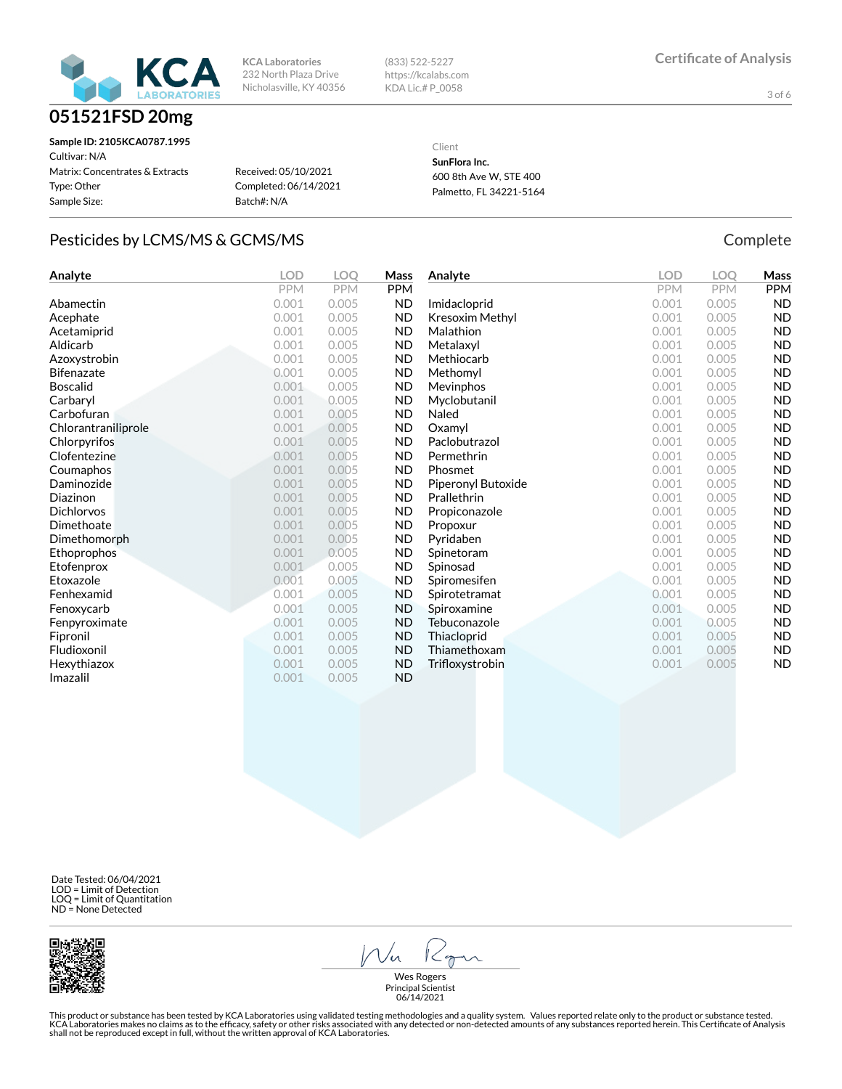

| <b>KCA Laboratories</b> |  |  |  |  |
|-------------------------|--|--|--|--|
| 232 North Plaza Drive   |  |  |  |  |
| Nicholasville, KY 40356 |  |  |  |  |

(833) 522-5227 https://kcalabs.com KDA Lic.# P\_0058

3 of 6

| Sample ID: 2105KCA0787.1995     |                       |
|---------------------------------|-----------------------|
| Cultivar: N/A                   |                       |
| Matrix: Concentrates & Extracts | Received: 05/10/2021  |
| Type: Other                     | Completed: 06/14/2021 |
| Sample Size:                    | Batch#: N/A           |
|                                 |                       |

Client

**SunFlora Inc.** 600 8th Ave W, STE 400 Palmetto, FL 34221-5164

#### Pesticides by LCMS/MS & GCMS/MS COMPLETE COMPLETE COMPLETE

| Analyte             | <b>LOD</b> | <b>LOO</b> | Mass       | Analyte            | <b>LOD</b> | <b>LOO</b> | Mass       |
|---------------------|------------|------------|------------|--------------------|------------|------------|------------|
|                     | <b>PPM</b> | <b>PPM</b> | <b>PPM</b> |                    | <b>PPM</b> | <b>PPM</b> | <b>PPM</b> |
| Abamectin           | 0.001      | 0.005      | <b>ND</b>  | Imidacloprid       | 0.001      | 0.005      | <b>ND</b>  |
| Acephate            | 0.001      | 0.005      | <b>ND</b>  | Kresoxim Methyl    | 0.001      | 0.005      | <b>ND</b>  |
| Acetamiprid         | 0.001      | 0.005      | <b>ND</b>  | Malathion          | 0.001      | 0.005      | <b>ND</b>  |
| Aldicarb            | 0.001      | 0.005      | <b>ND</b>  | Metalaxyl          | 0.001      | 0.005      | <b>ND</b>  |
| Azoxystrobin        | 0.001      | 0.005      | <b>ND</b>  | Methiocarb         | 0.001      | 0.005      | <b>ND</b>  |
| <b>Bifenazate</b>   | 0.001      | 0.005      | <b>ND</b>  | Methomyl           | 0.001      | 0.005      | <b>ND</b>  |
| <b>Boscalid</b>     | 0.001      | 0.005      | <b>ND</b>  | Mevinphos          | 0.001      | 0.005      | <b>ND</b>  |
| Carbaryl            | 0.001      | 0.005      | <b>ND</b>  | Myclobutanil       | 0.001      | 0.005      | <b>ND</b>  |
| Carbofuran          | 0.001      | 0.005      | <b>ND</b>  | Naled              | 0.001      | 0.005      | <b>ND</b>  |
| Chlorantraniliprole | 0.001      | 0.005      | <b>ND</b>  | Oxamyl             | 0.001      | 0.005      | <b>ND</b>  |
| Chlorpyrifos        | 0.001      | 0.005      | <b>ND</b>  | Paclobutrazol      | 0.001      | 0.005      | <b>ND</b>  |
| Clofentezine        | 0.001      | 0.005      | <b>ND</b>  | Permethrin         | 0.001      | 0.005      | <b>ND</b>  |
| Coumaphos           | 0.001      | 0.005      | <b>ND</b>  | Phosmet            | 0.001      | 0.005      | <b>ND</b>  |
| Daminozide          | 0.001      | 0.005      | <b>ND</b>  | Piperonyl Butoxide | 0.001      | 0.005      | <b>ND</b>  |
| Diazinon            | 0.001      | 0.005      | <b>ND</b>  | Prallethrin        | 0.001      | 0.005      | <b>ND</b>  |
| <b>Dichlorvos</b>   | 0.001      | 0.005      | <b>ND</b>  | Propiconazole      | 0.001      | 0.005      | <b>ND</b>  |
| Dimethoate          | 0.001      | 0.005      | <b>ND</b>  | Propoxur           | 0.001      | 0.005      | <b>ND</b>  |
| Dimethomorph        | 0.001      | 0.005      | <b>ND</b>  | Pyridaben          | 0.001      | 0.005      | <b>ND</b>  |
| Ethoprophos         | 0.001      | 0.005      | <b>ND</b>  | Spinetoram         | 0.001      | 0.005      | <b>ND</b>  |
| Etofenprox          | 0.001      | 0.005      | <b>ND</b>  | Spinosad           | 0.001      | 0.005      | <b>ND</b>  |
| Etoxazole           | 0.001      | 0.005      | <b>ND</b>  | Spiromesifen       | 0.001      | 0.005      | <b>ND</b>  |
| Fenhexamid          | 0.001      | 0.005      | <b>ND</b>  | Spirotetramat      | 0.001      | 0.005      | <b>ND</b>  |
| Fenoxycarb          | 0.001      | 0.005      | <b>ND</b>  | Spiroxamine        | 0.001      | 0.005      | <b>ND</b>  |
| Fenpyroximate       | 0.001      | 0.005      | <b>ND</b>  | Tebuconazole       | 0.001      | 0.005      | <b>ND</b>  |
| Fipronil            | 0.001      | 0.005      | <b>ND</b>  | Thiacloprid        | 0.001      | 0.005      | <b>ND</b>  |
| Fludioxonil         | 0.001      | 0.005      | <b>ND</b>  | Thiamethoxam       | 0.001      | 0.005      | <b>ND</b>  |
| Hexythiazox         | 0.001      | 0.005      | <b>ND</b>  | Trifloxystrobin    | 0.001      | 0.005      | <b>ND</b>  |
| Imazalil            | 0.001      | 0.005      | <b>ND</b>  |                    |            |            |            |

 Date Tested: 06/04/2021 LOD = Limit of Detection LOQ = Limit of Quantitation ND = None Detected



 $\mathcal{W}_{n}$  $1 < 0$ 

Wes Rogers Principal Scientist 06/14/2021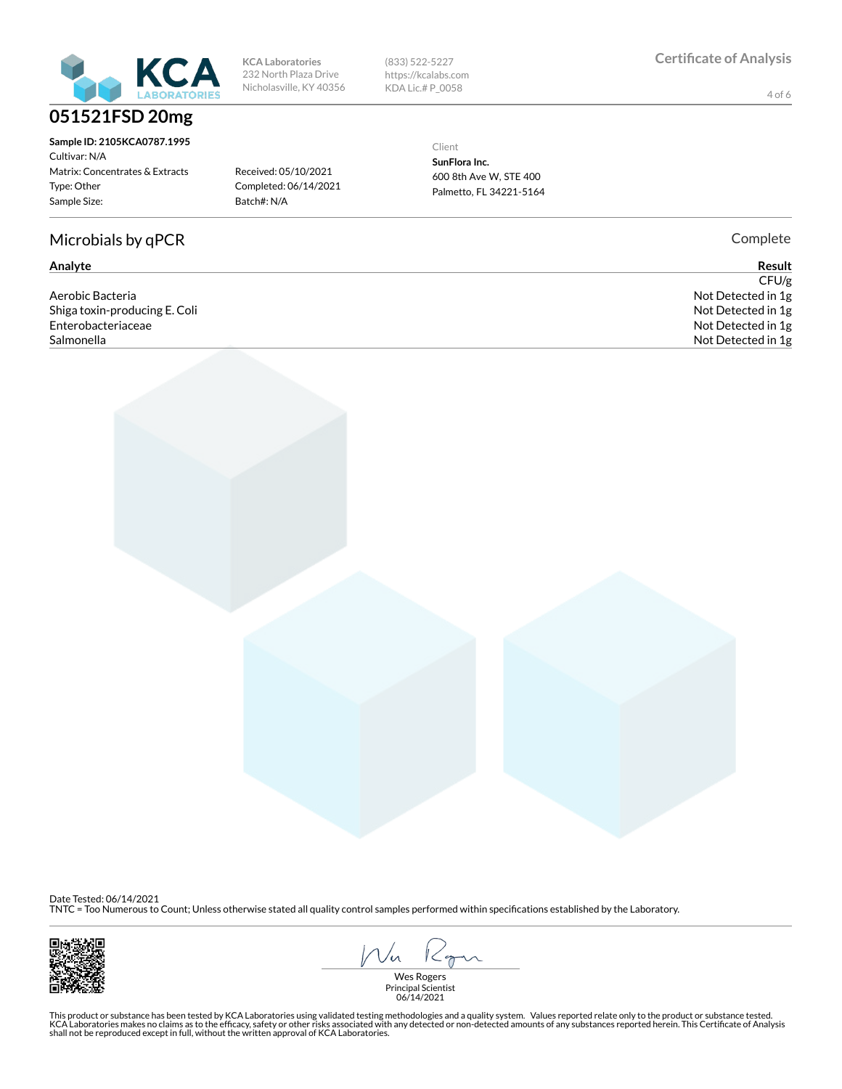

| Sample ID: 2105KCA0787.1995     |
|---------------------------------|
| Cultivar: N/A                   |
| Matrix: Concentrates & Extracts |
| Type: Other                     |
| Sample Size:                    |
|                                 |

#### Microbials by qPCR Complete

Aerobic Bacteria Not Detected in 1g Shiga toxin-producing E. Coli **Not Detected in 1g** and the state of the state of the state of the state of the state of the state of the state of the state of the state of the state of the state of the state of the state o Enterobacteriaceae Not Detected in 1g Salmonella Not Detected in 1g

**KCA Laboratories** 232 North Plaza Drive Nicholasville, KY 40356 (833) 522-5227 https://kcalabs.com KDA Lic.# P\_0058

4 of 6

Received: 05/10/2021 Completed: 06/14/2021 Batch#: N/A

Client

**SunFlora Inc.** 600 8th Ave W, STE 400 Palmetto, FL 34221-5164

**Analyte Result**  $CFU/g$ 

Date Tested: 06/14/2021

TNTC = Too Numerous to Count; Unless otherwise stated all quality control samples performed within specifications established by the Laboratory.



Vn  $1 < 0$ 

Wes Rogers Principal Scientist 06/14/2021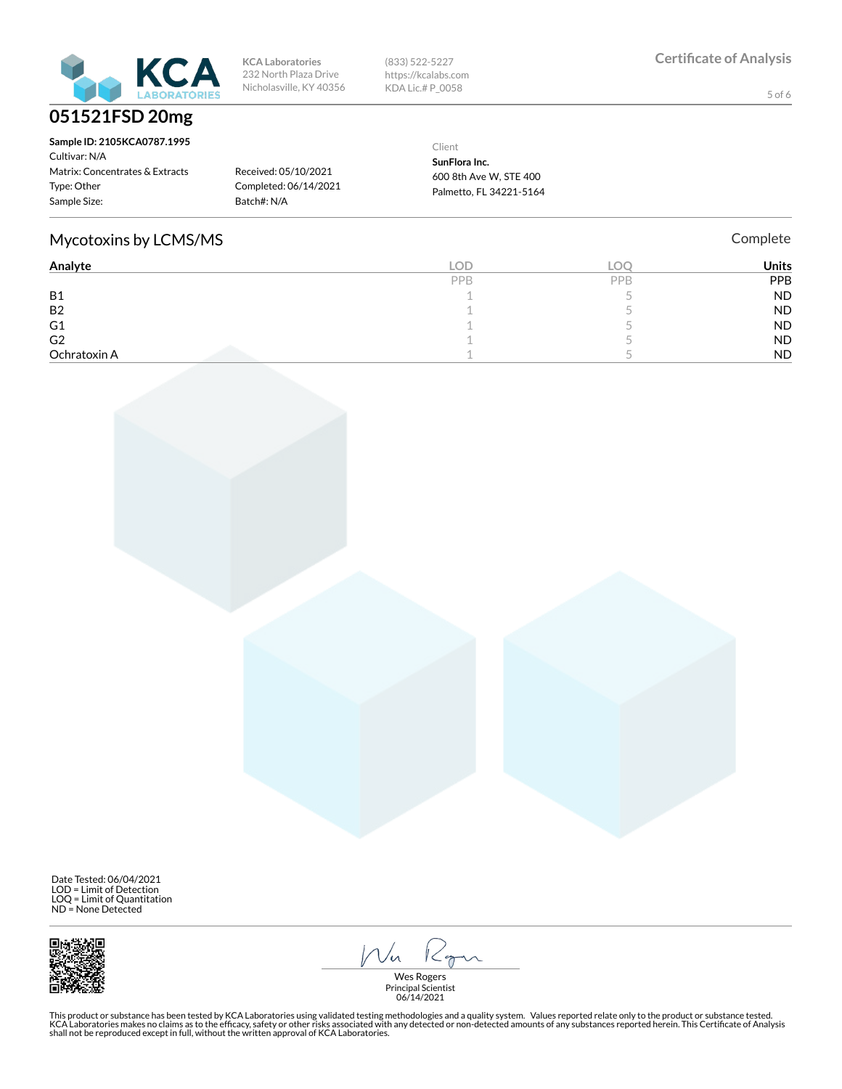

| <b>KCA Laboratories</b> |
|-------------------------|
| 232 North Plaza Drive   |
| Nicholasville, KY 40356 |

(833) 522-5227 https://kcalabs.com KDA Lic.# P\_0058

5 of 6

| Sample ID: 2105KCA0787.1995<br>Cultivar: N/A<br>Matrix: Concentrates & Extracts<br>Type: Other | Received: 05/10/2021<br>Completed: 06/14/2021 | Client<br>SunFlora Inc.<br>600 8th Ave W. STE 400<br>Palmetto, FL 34221-5164 |
|------------------------------------------------------------------------------------------------|-----------------------------------------------|------------------------------------------------------------------------------|
| Sample Size:                                                                                   | Batch#: N/A                                   |                                                                              |

#### Mycotoxins by LCMS/MS **Complete** Complete

| Analyte        | LOD. | "Oc | <b>Units</b> |
|----------------|------|-----|--------------|
|                | PPB  | PPB | PPB          |
| <b>B1</b>      |      |     | <b>ND</b>    |
| B <sub>2</sub> |      |     | <b>ND</b>    |
| G1             |      |     | <b>ND</b>    |
| G <sub>2</sub> |      |     | <b>ND</b>    |
| Ochratoxin A   |      |     | <b>ND</b>    |

 Date Tested: 06/04/2021 LOD = Limit of Detection LOQ = Limit of Quantitation ND = None Detected



Ron  $1/\sqrt{n}$ 

Wes Rogers Principal Scientist 06/14/2021